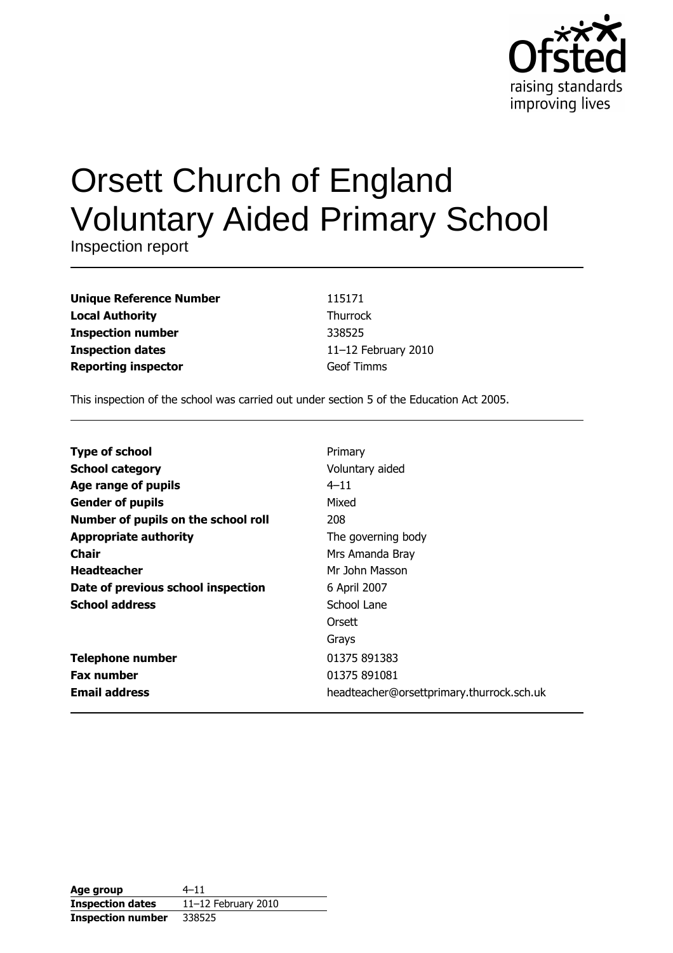

# **Orsett Church of England Voluntary Aided Primary School**

Inspection report

| <b>Unique Reference Number</b> |
|--------------------------------|
| <b>Local Authority</b>         |
| <b>Inspection number</b>       |
| <b>Inspection dates</b>        |
| <b>Reporting inspector</b>     |

115171 Thurrock 338525 11-12 February 2010 **Geof Timms** 

This inspection of the school was carried out under section 5 of the Education Act 2005.

| <b>Type of school</b>               | Primary                                   |
|-------------------------------------|-------------------------------------------|
| <b>School category</b>              | Voluntary aided                           |
| Age range of pupils                 | $4 - 11$                                  |
| <b>Gender of pupils</b>             | Mixed                                     |
| Number of pupils on the school roll | 208                                       |
| <b>Appropriate authority</b>        | The governing body                        |
| Chair                               | Mrs Amanda Bray                           |
| <b>Headteacher</b>                  | Mr John Masson                            |
| Date of previous school inspection  | 6 April 2007                              |
| <b>School address</b>               | School Lane                               |
|                                     | Orsett                                    |
|                                     | Grays                                     |
| <b>Telephone number</b>             | 01375 891383                              |
| <b>Fax number</b>                   | 01375 891081                              |
| <b>Email address</b>                | headteacher@orsettprimary.thurrock.sch.uk |

| Age group                | $4 - 11$            |
|--------------------------|---------------------|
| <b>Inspection dates</b>  | 11-12 February 2010 |
| <b>Inspection number</b> | 338525              |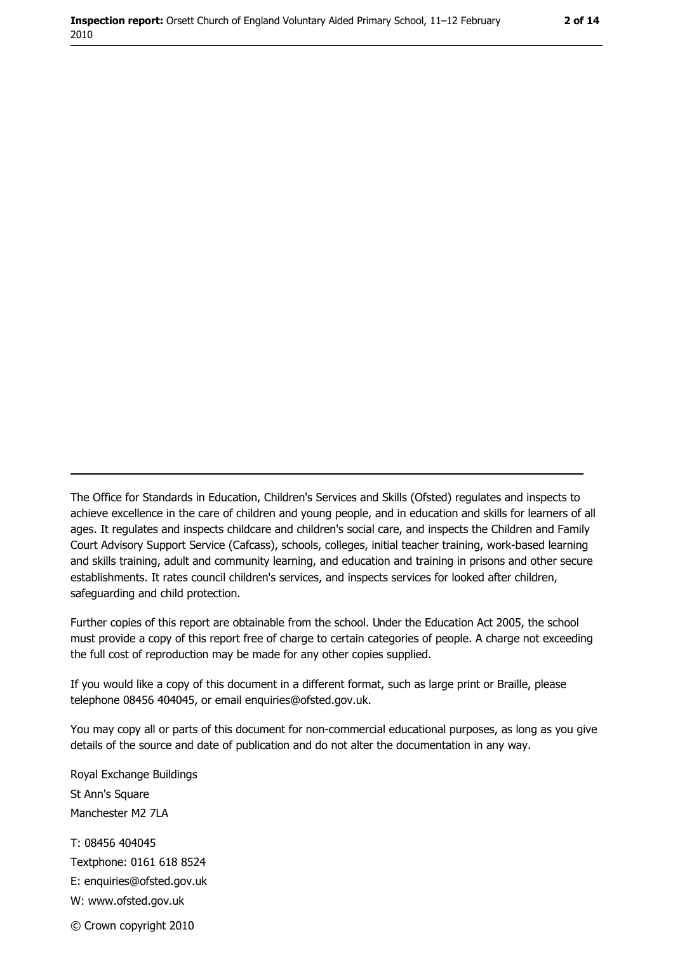2 of 14

The Office for Standards in Education, Children's Services and Skills (Ofsted) regulates and inspects to achieve excellence in the care of children and young people, and in education and skills for learners of all ages. It regulates and inspects childcare and children's social care, and inspects the Children and Family Court Advisory Support Service (Cafcass), schools, colleges, initial teacher training, work-based learning and skills training, adult and community learning, and education and training in prisons and other secure establishments. It rates council children's services, and inspects services for looked after children, safequarding and child protection.

Further copies of this report are obtainable from the school. Under the Education Act 2005, the school must provide a copy of this report free of charge to certain categories of people. A charge not exceeding the full cost of reproduction may be made for any other copies supplied.

If you would like a copy of this document in a different format, such as large print or Braille, please telephone 08456 404045, or email enquiries@ofsted.gov.uk.

You may copy all or parts of this document for non-commercial educational purposes, as long as you give details of the source and date of publication and do not alter the documentation in any way.

Royal Exchange Buildings St Ann's Square Manchester M2 7LA T: 08456 404045 Textphone: 0161 618 8524 E: enquiries@ofsted.gov.uk W: www.ofsted.gov.uk © Crown copyright 2010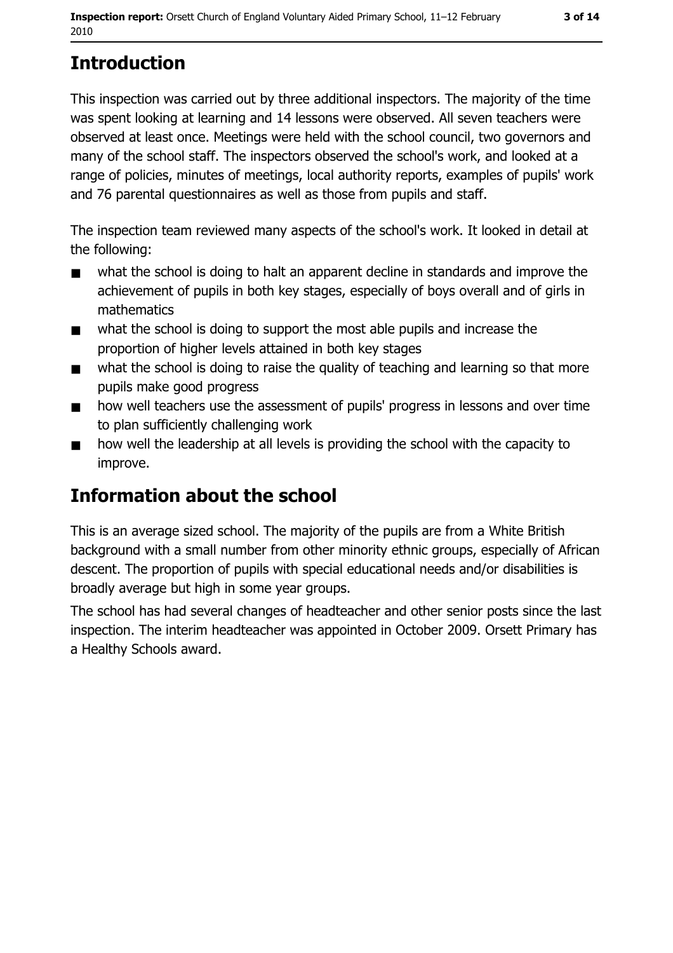# **Introduction**

This inspection was carried out by three additional inspectors. The majority of the time was spent looking at learning and 14 lessons were observed. All seven teachers were observed at least once. Meetings were held with the school council, two governors and many of the school staff. The inspectors observed the school's work, and looked at a range of policies, minutes of meetings, local authority reports, examples of pupils' work and 76 parental questionnaires as well as those from pupils and staff.

The inspection team reviewed many aspects of the school's work. It looked in detail at the following:

- what the school is doing to halt an apparent decline in standards and improve the  $\blacksquare$ achievement of pupils in both key stages, especially of boys overall and of girls in mathematics
- what the school is doing to support the most able pupils and increase the  $\blacksquare$ proportion of higher levels attained in both key stages
- what the school is doing to raise the quality of teaching and learning so that more  $\blacksquare$ pupils make good progress
- how well teachers use the assessment of pupils' progress in lessons and over time  $\blacksquare$ to plan sufficiently challenging work
- how well the leadership at all levels is providing the school with the capacity to  $\blacksquare$ improve.

# Information about the school

This is an average sized school. The majority of the pupils are from a White British background with a small number from other minority ethnic groups, especially of African descent. The proportion of pupils with special educational needs and/or disabilities is broadly average but high in some year groups.

The school has had several changes of headteacher and other senior posts since the last inspection. The interim headteacher was appointed in October 2009. Orsett Primary has a Healthy Schools award.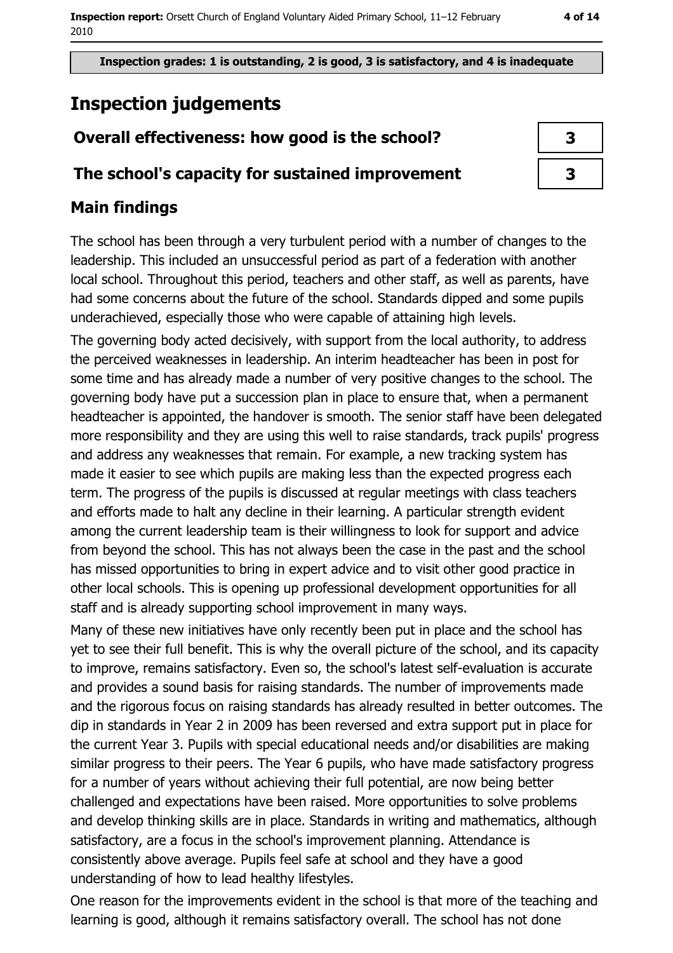# **Inspection judgements**

# Overall effectiveness: how good is the school?

### The school's capacity for sustained improvement

# **Main findings**

The school has been through a very turbulent period with a number of changes to the leadership. This included an unsuccessful period as part of a federation with another local school. Throughout this period, teachers and other staff, as well as parents, have had some concerns about the future of the school. Standards dipped and some pupils underachieved, especially those who were capable of attaining high levels.

The governing body acted decisively, with support from the local authority, to address the perceived weaknesses in leadership. An interim headteacher has been in post for some time and has already made a number of very positive changes to the school. The governing body have put a succession plan in place to ensure that, when a permanent headteacher is appointed, the handover is smooth. The senior staff have been delegated more responsibility and they are using this well to raise standards, track pupils' progress and address any weaknesses that remain. For example, a new tracking system has made it easier to see which pupils are making less than the expected progress each term. The progress of the pupils is discussed at regular meetings with class teachers and efforts made to halt any decline in their learning. A particular strength evident among the current leadership team is their willingness to look for support and advice from beyond the school. This has not always been the case in the past and the school has missed opportunities to bring in expert advice and to visit other good practice in other local schools. This is opening up professional development opportunities for all staff and is already supporting school improvement in many ways.

Many of these new initiatives have only recently been put in place and the school has yet to see their full benefit. This is why the overall picture of the school, and its capacity to improve, remains satisfactory. Even so, the school's latest self-evaluation is accurate and provides a sound basis for raising standards. The number of improvements made and the rigorous focus on raising standards has already resulted in better outcomes. The dip in standards in Year 2 in 2009 has been reversed and extra support put in place for the current Year 3. Pupils with special educational needs and/or disabilities are making similar progress to their peers. The Year 6 pupils, who have made satisfactory progress for a number of years without achieving their full potential, are now being better challenged and expectations have been raised. More opportunities to solve problems and develop thinking skills are in place. Standards in writing and mathematics, although satisfactory, are a focus in the school's improvement planning. Attendance is consistently above average. Pupils feel safe at school and they have a good understanding of how to lead healthy lifestyles.

One reason for the improvements evident in the school is that more of the teaching and learning is good, although it remains satisfactory overall. The school has not done

| 3 |  |
|---|--|
| 3 |  |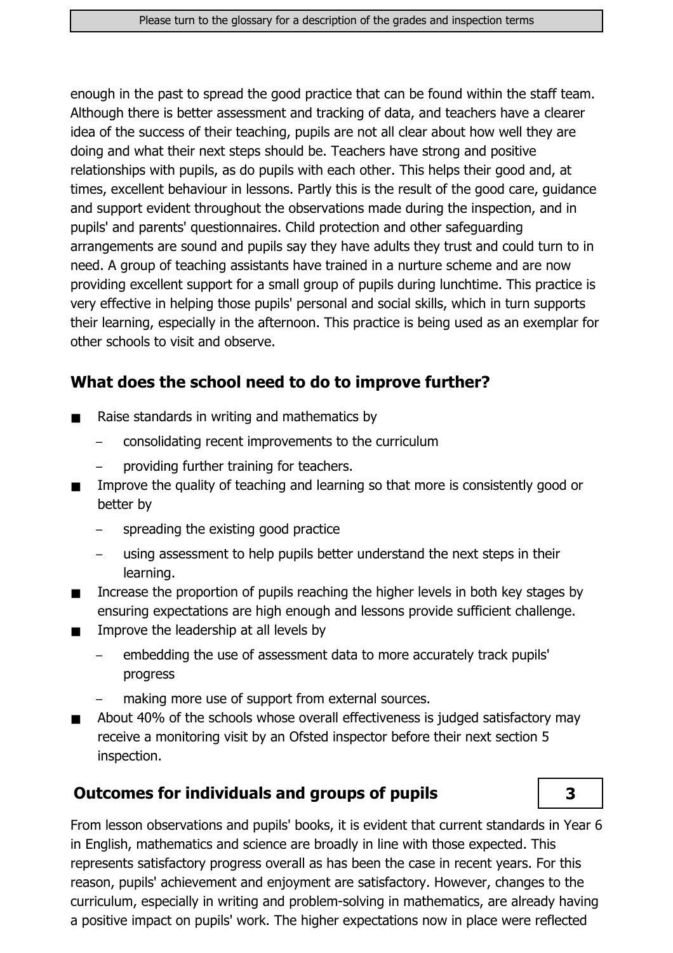enough in the past to spread the good practice that can be found within the staff team. Although there is better assessment and tracking of data, and teachers have a clearer idea of the success of their teaching, pupils are not all clear about how well they are doing and what their next steps should be. Teachers have strong and positive relationships with pupils, as do pupils with each other. This helps their good and, at times, excellent behaviour in lessons. Partly this is the result of the good care, guidance and support evident throughout the observations made during the inspection, and in pupils' and parents' questionnaires. Child protection and other safeguarding arrangements are sound and pupils say they have adults they trust and could turn to in need. A group of teaching assistants have trained in a nurture scheme and are now providing excellent support for a small group of pupils during lunchtime. This practice is very effective in helping those pupils' personal and social skills, which in turn supports their learning, especially in the afternoon. This practice is being used as an exemplar for other schools to visit and observe.

### What does the school need to do to improve further?

- Raise standards in writing and mathematics by  $\blacksquare$ 
	- consolidating recent improvements to the curriculum
	- providing further training for teachers.
- Improve the quality of teaching and learning so that more is consistently good or  $\blacksquare$ better by
	- spreading the existing good practice
	- using assessment to help pupils better understand the next steps in their learning.
- Increase the proportion of pupils reaching the higher levels in both key stages by  $\blacksquare$ ensuring expectations are high enough and lessons provide sufficient challenge.
- Improve the leadership at all levels by  $\blacksquare$ 
	- embedding the use of assessment data to more accurately track pupils' progress
	- making more use of support from external sources.
- About 40% of the schools whose overall effectiveness is judged satisfactory may  $\blacksquare$ receive a monitoring visit by an Ofsted inspector before their next section 5 inspection.

### **Outcomes for individuals and groups of pupils**



From lesson observations and pupils' books, it is evident that current standards in Year 6 in English, mathematics and science are broadly in line with those expected. This represents satisfactory progress overall as has been the case in recent years. For this reason, pupils' achievement and enjoyment are satisfactory. However, changes to the curriculum, especially in writing and problem-solving in mathematics, are already having a positive impact on pupils' work. The higher expectations now in place were reflected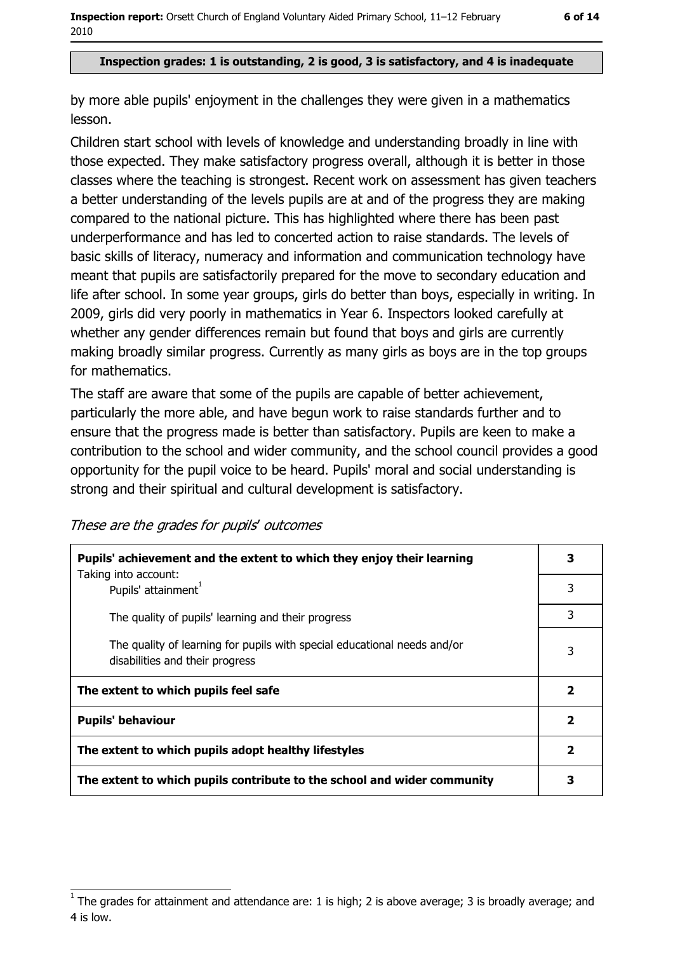#### Inspection grades: 1 is outstanding, 2 is good, 3 is satisfactory, and 4 is inadequate

by more able pupils' enjoyment in the challenges they were given in a mathematics lesson.

Children start school with levels of knowledge and understanding broadly in line with those expected. They make satisfactory progress overall, although it is better in those classes where the teaching is strongest. Recent work on assessment has given teachers a better understanding of the levels pupils are at and of the progress they are making compared to the national picture. This has highlighted where there has been past underperformance and has led to concerted action to raise standards. The levels of basic skills of literacy, numeracy and information and communication technology have meant that pupils are satisfactorily prepared for the move to secondary education and life after school. In some year groups, girls do better than boys, especially in writing. In 2009, girls did very poorly in mathematics in Year 6. Inspectors looked carefully at whether any gender differences remain but found that boys and girls are currently making broadly similar progress. Currently as many girls as boys are in the top groups for mathematics.

The staff are aware that some of the pupils are capable of better achievement, particularly the more able, and have begun work to raise standards further and to ensure that the progress made is better than satisfactory. Pupils are keen to make a contribution to the school and wider community, and the school council provides a good opportunity for the pupil voice to be heard. Pupils' moral and social understanding is strong and their spiritual and cultural development is satisfactory.

These are the grades for pupils' outcomes

| Pupils' achievement and the extent to which they enjoy their learning                                       | 3            |
|-------------------------------------------------------------------------------------------------------------|--------------|
| Taking into account:<br>Pupils' attainment <sup>1</sup>                                                     | 3            |
| The quality of pupils' learning and their progress                                                          | 3            |
| The quality of learning for pupils with special educational needs and/or<br>disabilities and their progress | 3            |
| The extent to which pupils feel safe                                                                        | $\mathbf{2}$ |
| <b>Pupils' behaviour</b>                                                                                    | 2            |
| The extent to which pupils adopt healthy lifestyles                                                         | $\mathbf{2}$ |
| The extent to which pupils contribute to the school and wider community                                     | 3            |

The grades for attainment and attendance are: 1 is high; 2 is above average; 3 is broadly average; and 4 is low.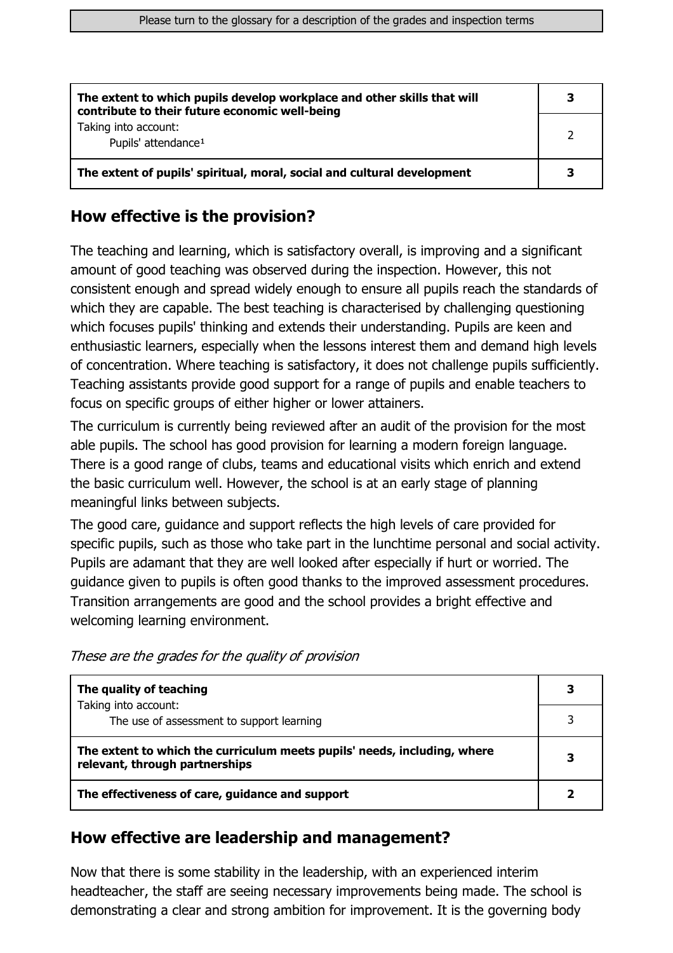| The extent to which pupils develop workplace and other skills that will<br>contribute to their future economic well-being | 3 |
|---------------------------------------------------------------------------------------------------------------------------|---|
| Taking into account:<br>Pupils' attendance <sup>1</sup>                                                                   |   |
| The extent of pupils' spiritual, moral, social and cultural development                                                   | 3 |

### How effective is the provision?

The teaching and learning, which is satisfactory overall, is improving and a significant amount of good teaching was observed during the inspection. However, this not consistent enough and spread widely enough to ensure all pupils reach the standards of which they are capable. The best teaching is characterised by challenging questioning which focuses pupils' thinking and extends their understanding. Pupils are keen and enthusiastic learners, especially when the lessons interest them and demand high levels of concentration. Where teaching is satisfactory, it does not challenge pupils sufficiently. Teaching assistants provide good support for a range of pupils and enable teachers to focus on specific groups of either higher or lower attainers.

The curriculum is currently being reviewed after an audit of the provision for the most able pupils. The school has good provision for learning a modern foreign language. There is a good range of clubs, teams and educational visits which enrich and extend the basic curriculum well. However, the school is at an early stage of planning meaningful links between subjects.

The good care, guidance and support reflects the high levels of care provided for specific pupils, such as those who take part in the lunchtime personal and social activity. Pupils are adamant that they are well looked after especially if hurt or worried. The quidance given to pupils is often good thanks to the improved assessment procedures. Transition arrangements are good and the school provides a bright effective and welcoming learning environment.

|  | These are the grades for the quality of provision |  |  |
|--|---------------------------------------------------|--|--|
|--|---------------------------------------------------|--|--|

| The quality of teaching                                                                                    | 3 |
|------------------------------------------------------------------------------------------------------------|---|
| Taking into account:<br>The use of assessment to support learning                                          |   |
| The extent to which the curriculum meets pupils' needs, including, where<br>relevant, through partnerships | З |
| The effectiveness of care, guidance and support                                                            |   |

### How effective are leadership and management?

Now that there is some stability in the leadership, with an experienced interim headteacher, the staff are seeing necessary improvements being made. The school is demonstrating a clear and strong ambition for improvement. It is the governing body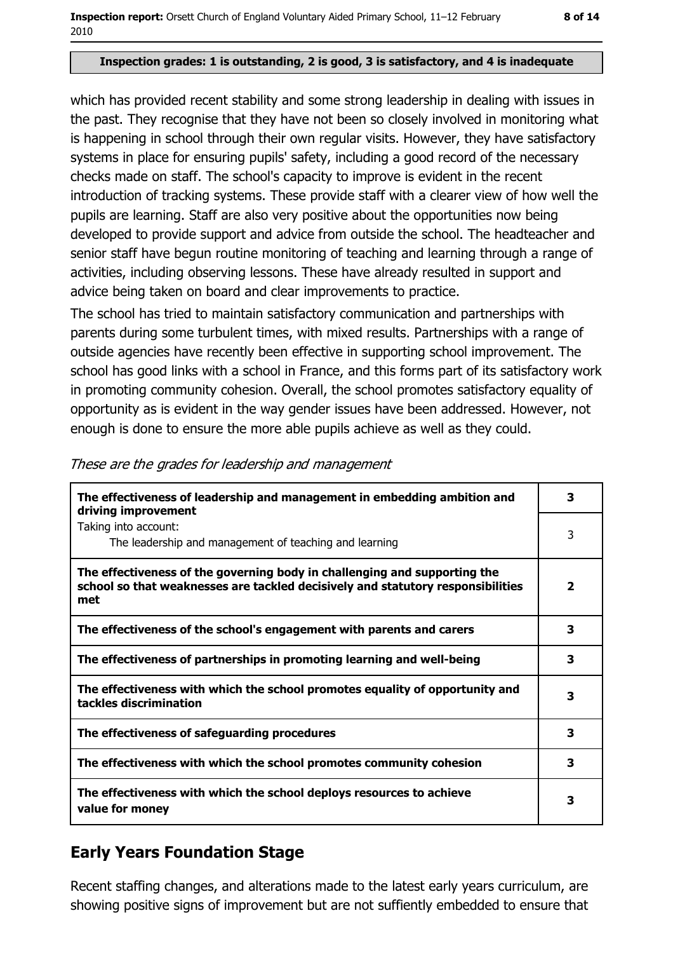#### Inspection grades: 1 is outstanding, 2 is good, 3 is satisfactory, and 4 is inadequate

which has provided recent stability and some strong leadership in dealing with issues in the past. They recognise that they have not been so closely involved in monitoring what is happening in school through their own regular visits. However, they have satisfactory systems in place for ensuring pupils' safety, including a good record of the necessary checks made on staff. The school's capacity to improve is evident in the recent introduction of tracking systems. These provide staff with a clearer view of how well the pupils are learning. Staff are also very positive about the opportunities now being developed to provide support and advice from outside the school. The headteacher and senior staff have begun routine monitoring of teaching and learning through a range of activities, including observing lessons. These have already resulted in support and advice being taken on board and clear improvements to practice.

The school has tried to maintain satisfactory communication and partnerships with parents during some turbulent times, with mixed results. Partnerships with a range of outside agencies have recently been effective in supporting school improvement. The school has good links with a school in France, and this forms part of its satisfactory work in promoting community cohesion. Overall, the school promotes satisfactory equality of opportunity as is evident in the way gender issues have been addressed. However, not enough is done to ensure the more able pupils achieve as well as they could.

| The effectiveness of leadership and management in embedding ambition and<br>driving improvement                                                                     | 3              |
|---------------------------------------------------------------------------------------------------------------------------------------------------------------------|----------------|
| Taking into account:<br>The leadership and management of teaching and learning                                                                                      | 3              |
| The effectiveness of the governing body in challenging and supporting the<br>school so that weaknesses are tackled decisively and statutory responsibilities<br>met | $\overline{2}$ |
| The effectiveness of the school's engagement with parents and carers                                                                                                | 3              |
| The effectiveness of partnerships in promoting learning and well-being                                                                                              | 3              |
| The effectiveness with which the school promotes equality of opportunity and<br>tackles discrimination                                                              | 3              |
| The effectiveness of safeguarding procedures                                                                                                                        | 3              |
| The effectiveness with which the school promotes community cohesion                                                                                                 | 3              |
| The effectiveness with which the school deploys resources to achieve<br>value for money                                                                             | 3              |

#### These are the grades for leadership and management

## **Early Years Foundation Stage**

Recent staffing changes, and alterations made to the latest early vears curriculum, are showing positive signs of improvement but are not suffiently embedded to ensure that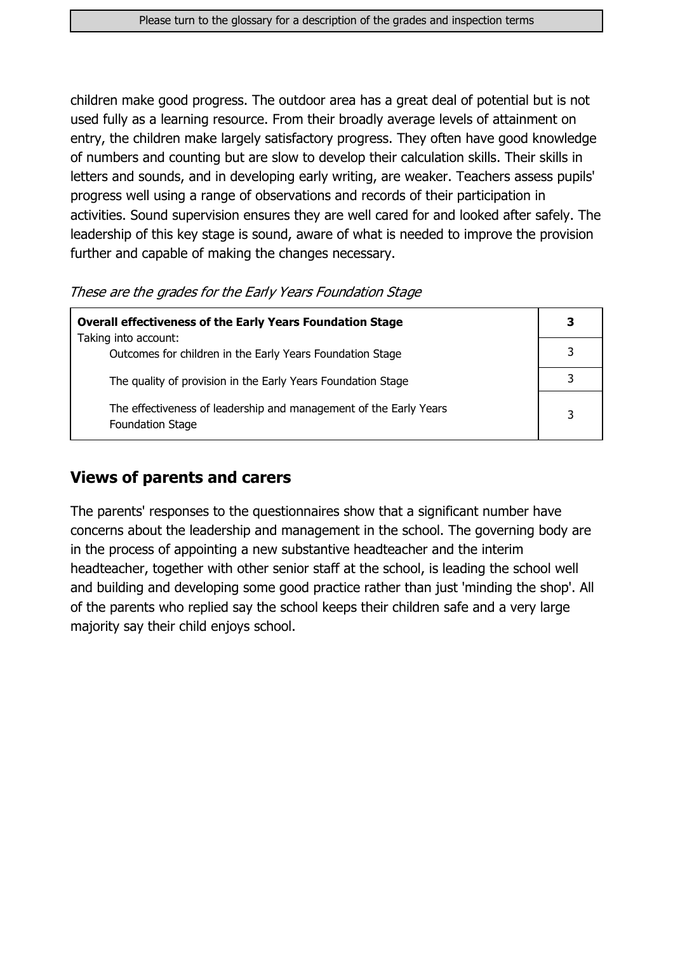children make good progress. The outdoor area has a great deal of potential but is not used fully as a learning resource. From their broadly average levels of attainment on entry, the children make largely satisfactory progress. They often have good knowledge of numbers and counting but are slow to develop their calculation skills. Their skills in letters and sounds, and in developing early writing, are weaker. Teachers assess pupils' progress well using a range of observations and records of their participation in activities. Sound supervision ensures they are well cared for and looked after safely. The leadership of this key stage is sound, aware of what is needed to improve the provision further and capable of making the changes necessary.

These are the grades for the Early Years Foundation Stage

| <b>Overall effectiveness of the Early Years Foundation Stage</b>                             | 3 |
|----------------------------------------------------------------------------------------------|---|
| Taking into account:<br>Outcomes for children in the Early Years Foundation Stage            |   |
| The quality of provision in the Early Years Foundation Stage                                 |   |
| The effectiveness of leadership and management of the Early Years<br><b>Foundation Stage</b> | 3 |

### **Views of parents and carers**

The parents' responses to the questionnaires show that a significant number have concerns about the leadership and management in the school. The governing body are in the process of appointing a new substantive headteacher and the interim headteacher, together with other senior staff at the school, is leading the school well and building and developing some good practice rather than just 'minding the shop'. All of the parents who replied say the school keeps their children safe and a very large majority say their child enjoys school.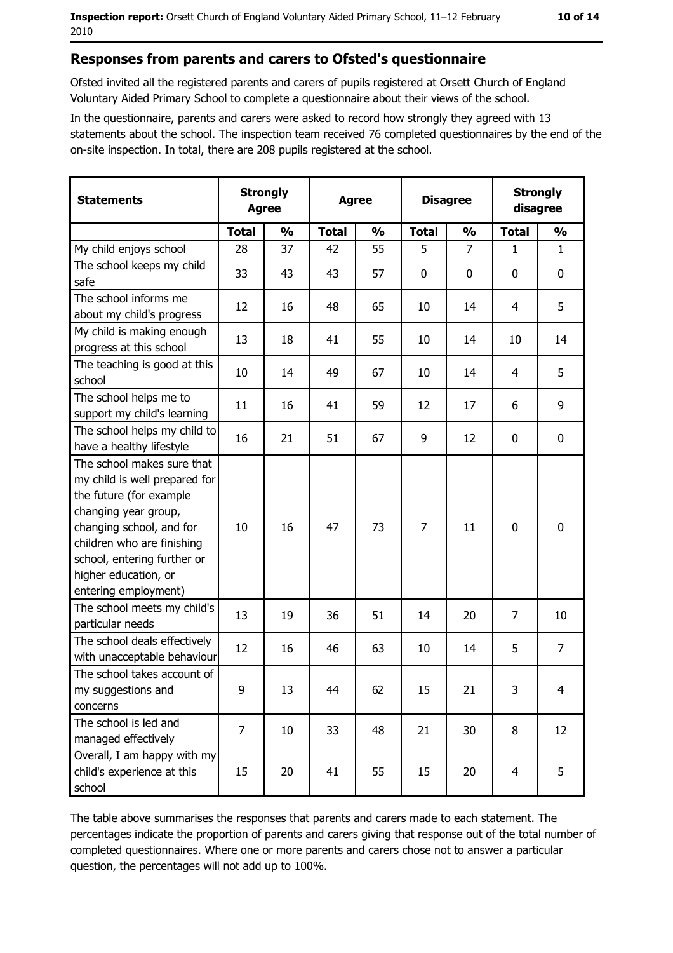#### Responses from parents and carers to Ofsted's questionnaire

Ofsted invited all the registered parents and carers of pupils registered at Orsett Church of England Voluntary Aided Primary School to complete a questionnaire about their views of the school.

In the questionnaire, parents and carers were asked to record how strongly they agreed with 13 statements about the school. The inspection team received 76 completed questionnaires by the end of the on-site inspection. In total, there are 208 pupils registered at the school.

| <b>Statements</b>                                                                                                                                                                                                                                       | <b>Strongly</b><br><b>Agree</b> |               | <b>Agree</b> |               | <b>Disagree</b> |                | <b>Strongly</b><br>disagree |               |
|---------------------------------------------------------------------------------------------------------------------------------------------------------------------------------------------------------------------------------------------------------|---------------------------------|---------------|--------------|---------------|-----------------|----------------|-----------------------------|---------------|
|                                                                                                                                                                                                                                                         | <b>Total</b>                    | $\frac{0}{0}$ | <b>Total</b> | $\frac{0}{0}$ | <b>Total</b>    | $\frac{1}{2}$  | <b>Total</b>                | $\frac{1}{2}$ |
| My child enjoys school                                                                                                                                                                                                                                  | 28                              | 37            | 42           | 55            | 5               | $\overline{7}$ | $\mathbf{1}$                | $\mathbf{1}$  |
| The school keeps my child<br>safe                                                                                                                                                                                                                       | 33                              | 43            | 43           | 57            | 0               | 0              | 0                           | 0             |
| The school informs me<br>about my child's progress                                                                                                                                                                                                      | 12                              | 16            | 48           | 65            | 10              | 14             | 4                           | 5             |
| My child is making enough<br>progress at this school                                                                                                                                                                                                    | 13                              | 18            | 41           | 55            | 10              | 14             | 10                          | 14            |
| The teaching is good at this<br>school                                                                                                                                                                                                                  | 10                              | 14            | 49           | 67            | 10              | 14             | 4                           | 5             |
| The school helps me to<br>support my child's learning                                                                                                                                                                                                   | 11                              | 16            | 41           | 59            | 12              | 17             | 6                           | 9             |
| The school helps my child to<br>have a healthy lifestyle                                                                                                                                                                                                | 16                              | 21            | 51           | 67            | 9               | 12             | 0                           | $\mathbf 0$   |
| The school makes sure that<br>my child is well prepared for<br>the future (for example<br>changing year group,<br>changing school, and for<br>children who are finishing<br>school, entering further or<br>higher education, or<br>entering employment) | 10                              | 16            | 47           | 73            | $\overline{7}$  | 11             | 0                           | $\mathbf 0$   |
| The school meets my child's<br>particular needs                                                                                                                                                                                                         | 13                              | 19            | 36           | 51            | 14              | 20             | $\overline{7}$              | 10            |
| The school deals effectively<br>with unacceptable behaviour                                                                                                                                                                                             | 12                              | 16            | 46           | 63            | 10              | 14             | 5                           | 7             |
| The school takes account of<br>my suggestions and<br>concerns                                                                                                                                                                                           | 9                               | 13            | 44           | 62            | 15              | 21             | 3                           | 4             |
| The school is led and<br>managed effectively                                                                                                                                                                                                            | $\overline{7}$                  | 10            | 33           | 48            | 21              | 30             | 8                           | 12            |
| Overall, I am happy with my<br>child's experience at this<br>school                                                                                                                                                                                     | 15                              | 20            | 41           | 55            | 15              | 20             | $\overline{4}$              | 5             |

The table above summarises the responses that parents and carers made to each statement. The percentages indicate the proportion of parents and carers giving that response out of the total number of completed questionnaires. Where one or more parents and carers chose not to answer a particular question, the percentages will not add up to 100%.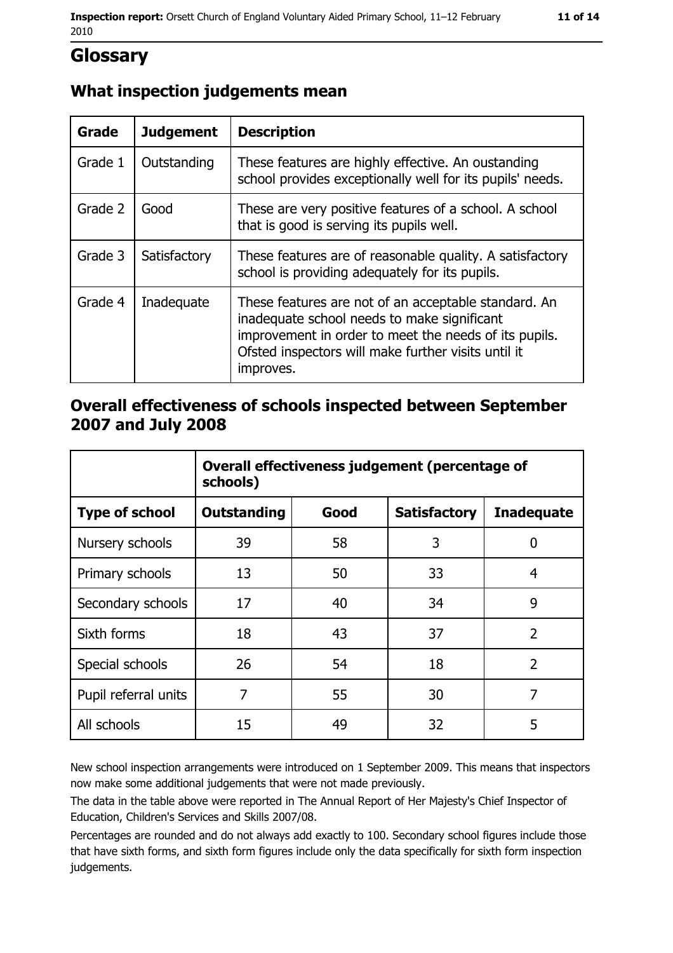# **Glossary**

### What inspection judgements mean

| <b>Grade</b> | <b>Judgement</b> | <b>Description</b>                                                                                                                                                                                                               |
|--------------|------------------|----------------------------------------------------------------------------------------------------------------------------------------------------------------------------------------------------------------------------------|
| Grade 1      | Outstanding      | These features are highly effective. An oustanding<br>school provides exceptionally well for its pupils' needs.                                                                                                                  |
| Grade 2      | Good             | These are very positive features of a school. A school<br>that is good is serving its pupils well.                                                                                                                               |
| Grade 3      | Satisfactory     | These features are of reasonable quality. A satisfactory<br>school is providing adequately for its pupils.                                                                                                                       |
| Grade 4      | Inadequate       | These features are not of an acceptable standard. An<br>inadequate school needs to make significant<br>improvement in order to meet the needs of its pupils.<br>Ofsted inspectors will make further visits until it<br>improves. |

### Overall effectiveness of schools inspected between September 2007 and July 2008

|                       | Overall effectiveness judgement (percentage of<br>schools) |      |                     |                   |
|-----------------------|------------------------------------------------------------|------|---------------------|-------------------|
| <b>Type of school</b> | <b>Outstanding</b>                                         | Good | <b>Satisfactory</b> | <b>Inadequate</b> |
| Nursery schools       | 39                                                         | 58   | 3                   | 0                 |
| Primary schools       | 13                                                         | 50   | 33                  | 4                 |
| Secondary schools     | 17                                                         | 40   | 34                  | 9                 |
| Sixth forms           | 18                                                         | 43   | 37                  | $\overline{2}$    |
| Special schools       | 26                                                         | 54   | 18                  | $\overline{2}$    |
| Pupil referral units  | 7                                                          | 55   | 30                  | 7                 |
| All schools           | 15                                                         | 49   | 32                  | 5                 |

New school inspection arrangements were introduced on 1 September 2009. This means that inspectors now make some additional judgements that were not made previously.

The data in the table above were reported in The Annual Report of Her Majesty's Chief Inspector of Education, Children's Services and Skills 2007/08.

Percentages are rounded and do not always add exactly to 100. Secondary school figures include those that have sixth forms, and sixth form figures include only the data specifically for sixth form inspection judgements.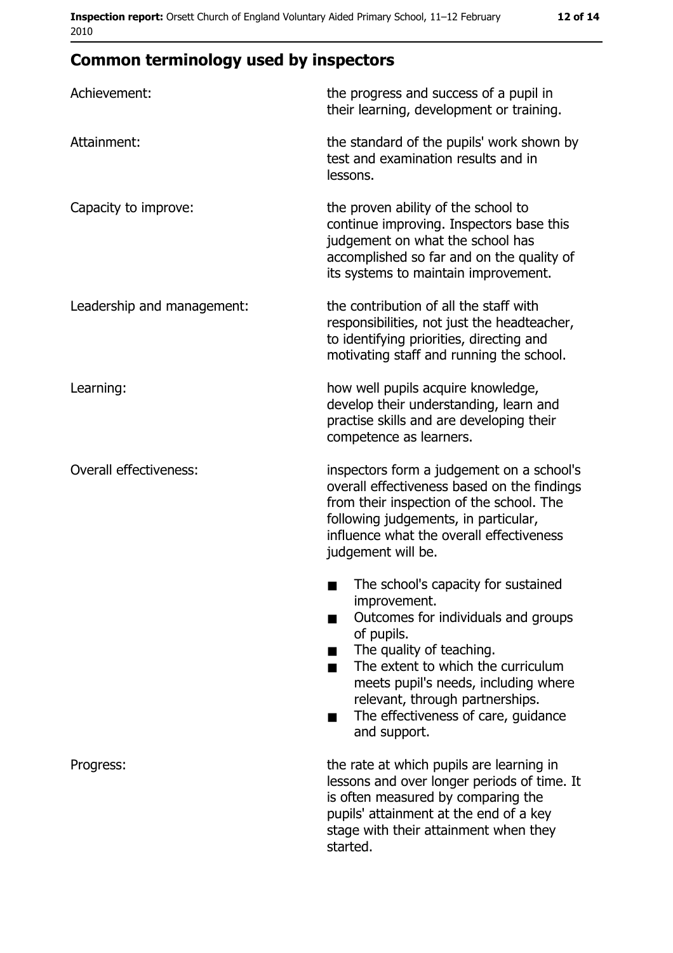# **Common terminology used by inspectors**

| Achievement:                  | the progress and success of a pupil in<br>their learning, development or training.                                                                                                                                                                                                                           |  |
|-------------------------------|--------------------------------------------------------------------------------------------------------------------------------------------------------------------------------------------------------------------------------------------------------------------------------------------------------------|--|
| Attainment:                   | the standard of the pupils' work shown by<br>test and examination results and in<br>lessons.                                                                                                                                                                                                                 |  |
| Capacity to improve:          | the proven ability of the school to<br>continue improving. Inspectors base this<br>judgement on what the school has<br>accomplished so far and on the quality of<br>its systems to maintain improvement.                                                                                                     |  |
| Leadership and management:    | the contribution of all the staff with<br>responsibilities, not just the headteacher,<br>to identifying priorities, directing and<br>motivating staff and running the school.                                                                                                                                |  |
| Learning:                     | how well pupils acquire knowledge,<br>develop their understanding, learn and<br>practise skills and are developing their<br>competence as learners.                                                                                                                                                          |  |
| <b>Overall effectiveness:</b> | inspectors form a judgement on a school's<br>overall effectiveness based on the findings<br>from their inspection of the school. The<br>following judgements, in particular,<br>influence what the overall effectiveness<br>judgement will be.                                                               |  |
|                               | The school's capacity for sustained<br>improvement.<br>Outcomes for individuals and groups<br>of pupils.<br>The quality of teaching.<br>The extent to which the curriculum<br>meets pupil's needs, including where<br>relevant, through partnerships.<br>The effectiveness of care, guidance<br>and support. |  |
| Progress:                     | the rate at which pupils are learning in<br>lessons and over longer periods of time. It<br>is often measured by comparing the<br>pupils' attainment at the end of a key<br>stage with their attainment when they<br>started.                                                                                 |  |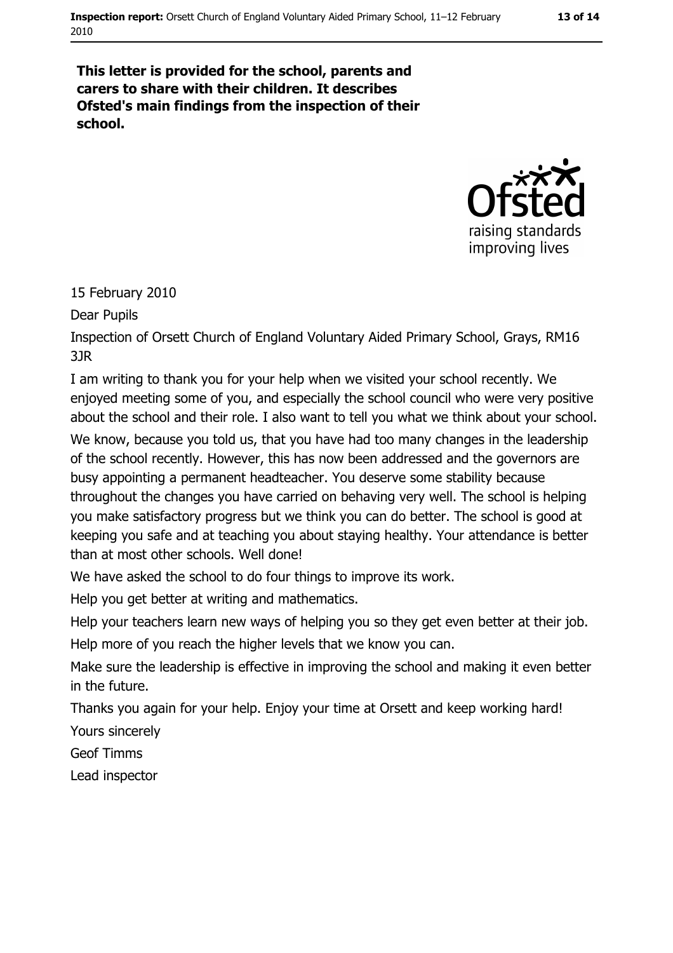#### This letter is provided for the school, parents and carers to share with their children. It describes Ofsted's main findings from the inspection of their school.



#### 15 February 2010

Dear Pupils

Inspection of Orsett Church of England Voluntary Aided Primary School, Grays, RM16  $3JR$ 

I am writing to thank you for your help when we visited your school recently. We enjoyed meeting some of you, and especially the school council who were very positive about the school and their role. I also want to tell you what we think about your school.

We know, because you told us, that you have had too many changes in the leadership of the school recently. However, this has now been addressed and the governors are busy appointing a permanent headteacher. You deserve some stability because throughout the changes you have carried on behaving very well. The school is helping you make satisfactory progress but we think you can do better. The school is good at keeping you safe and at teaching you about staying healthy. Your attendance is better than at most other schools. Well done!

We have asked the school to do four things to improve its work.

Help you get better at writing and mathematics.

Help your teachers learn new ways of helping you so they get even better at their job. Help more of you reach the higher levels that we know you can.

Make sure the leadership is effective in improving the school and making it even better in the future.

Thanks you again for your help. Enjoy your time at Orsett and keep working hard! Yours sincerely

**Geof Timms** 

Lead inspector